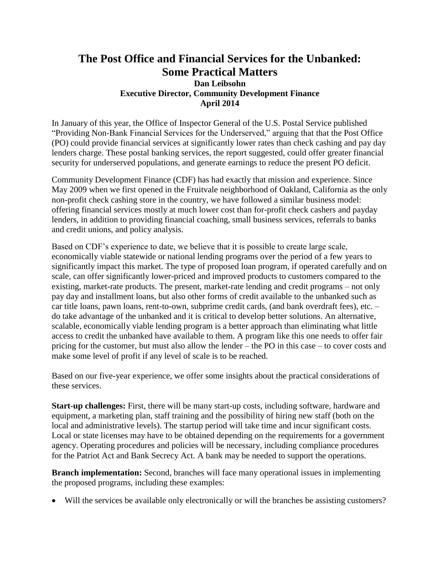## **The Post Office and Financial Services for the Unbanked: Some Practical Matters**

## **Dan Leibsohn Executive Director, Community Development Finance April 2014**

In January of this year, the Office of Inspector General of the U.S. Postal Service published "Providing Non-Bank Financial Services for the Underserved," arguing that that the Post Office (PO) could provide financial services at significantly lower rates than check cashing and pay day lenders charge. These postal banking services, the report suggested, could offer greater financial security for underserved populations, and generate earnings to reduce the present PO deficit.

Community Development Finance (CDF) has had exactly that mission and experience. Since May 2009 when we first opened in the Fruitvale neighborhood of Oakland, California as the only non-profit check cashing store in the country, we have followed a similar business model: offering financial services mostly at much lower cost than for-profit check cashers and payday lenders, in addition to providing financial coaching, small business services, referrals to banks and credit unions, and policy analysis.

Based on CDF's experience to date, we believe that it is possible to create large scale, economically viable statewide or national lending programs over the period of a few years to significantly impact this market. The type of proposed loan program, if operated carefully and on scale, can offer significantly lower-priced and improved products to customers compared to the existing, market-rate products. The present, market-rate lending and credit programs – not only pay day and installment loans, but also other forms of credit available to the unbanked such as car title loans, pawn loans, rent-to-own, subprime credit cards, (and bank overdraft fees), etc. – do take advantage of the unbanked and it is critical to develop better solutions. An alternative, scalable, economically viable lending program is a better approach than eliminating what little access to credit the unbanked have available to them. A program like this one needs to offer fair pricing for the customer, but must also allow the lender – the PO in this case – to cover costs and make some level of profit if any level of scale is to be reached.

Based on our five-year experience, we offer some insights about the practical considerations of these services.

**Start-up challenges:** First, there will be many start-up costs, including software, hardware and equipment, a marketing plan, staff training and the possibility of hiring new staff (both on the local and administrative levels). The startup period will take time and incur significant costs. Local or state licenses may have to be obtained depending on the requirements for a government agency. Operating procedures and policies will be necessary, including compliance procedures for the Patriot Act and Bank Secrecy Act. A bank may be needed to support the operations.

**Branch implementation:** Second, branches will face many operational issues in implementing the proposed programs, including these examples:

Will the services be available only electronically or will the branches be assisting customers?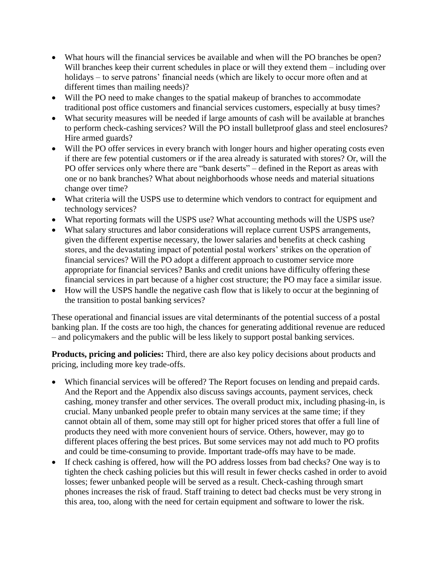- What hours will the financial services be available and when will the PO branches be open? Will branches keep their current schedules in place or will they extend them – including over holidays – to serve patrons' financial needs (which are likely to occur more often and at different times than mailing needs)?
- Will the PO need to make changes to the spatial makeup of branches to accommodate traditional post office customers and financial services customers, especially at busy times?
- What security measures will be needed if large amounts of cash will be available at branches to perform check-cashing services? Will the PO install bulletproof glass and steel enclosures? Hire armed guards?
- Will the PO offer services in every branch with longer hours and higher operating costs even if there are few potential customers or if the area already is saturated with stores? Or, will the PO offer services only where there are "bank deserts" – defined in the Report as areas with one or no bank branches? What about neighborhoods whose needs and material situations change over time?
- What criteria will the USPS use to determine which vendors to contract for equipment and technology services?
- What reporting formats will the USPS use? What accounting methods will the USPS use?
- What salary structures and labor considerations will replace current USPS arrangements, given the different expertise necessary, the lower salaries and benefits at check cashing stores, and the devastating impact of potential postal workers' strikes on the operation of financial services? Will the PO adopt a different approach to customer service more appropriate for financial services? Banks and credit unions have difficulty offering these financial services in part because of a higher cost structure; the PO may face a similar issue.
- How will the USPS handle the negative cash flow that is likely to occur at the beginning of the transition to postal banking services?

These operational and financial issues are vital determinants of the potential success of a postal banking plan. If the costs are too high, the chances for generating additional revenue are reduced – and policymakers and the public will be less likely to support postal banking services.

**Products, pricing and policies:** Third, there are also key policy decisions about products and pricing, including more key trade-offs.

- Which financial services will be offered? The Report focuses on lending and prepaid cards. And the Report and the Appendix also discuss savings accounts, payment services, check cashing, money transfer and other services. The overall product mix, including phasing-in, is crucial. Many unbanked people prefer to obtain many services at the same time; if they cannot obtain all of them, some may still opt for higher priced stores that offer a full line of products they need with more convenient hours of service. Others, however, may go to different places offering the best prices. But some services may not add much to PO profits and could be time-consuming to provide. Important trade-offs may have to be made.
- If check cashing is offered, how will the PO address losses from bad checks? One way is to tighten the check cashing policies but this will result in fewer checks cashed in order to avoid losses; fewer unbanked people will be served as a result. Check-cashing through smart phones increases the risk of fraud. Staff training to detect bad checks must be very strong in this area, too, along with the need for certain equipment and software to lower the risk.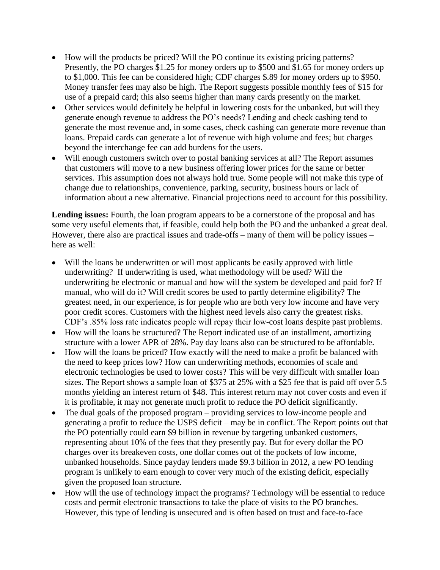- How will the products be priced? Will the PO continue its existing pricing patterns? Presently, the PO charges \$1.25 for money orders up to \$500 and \$1.65 for money orders up to \$1,000. This fee can be considered high; CDF charges \$.89 for money orders up to \$950. Money transfer fees may also be high. The Report suggests possible monthly fees of \$15 for use of a prepaid card; this also seems higher than many cards presently on the market.
- Other services would definitely be helpful in lowering costs for the unbanked, but will they generate enough revenue to address the PO's needs? Lending and check cashing tend to generate the most revenue and, in some cases, check cashing can generate more revenue than loans. Prepaid cards can generate a lot of revenue with high volume and fees; but charges beyond the interchange fee can add burdens for the users.
- Will enough customers switch over to postal banking services at all? The Report assumes that customers will move to a new business offering lower prices for the same or better services. This assumption does not always hold true. Some people will not make this type of change due to relationships, convenience, parking, security, business hours or lack of information about a new alternative. Financial projections need to account for this possibility.

**Lending issues:** Fourth, the loan program appears to be a cornerstone of the proposal and has some very useful elements that, if feasible, could help both the PO and the unbanked a great deal. However, there also are practical issues and trade-offs – many of them will be policy issues – here as well:

- Will the loans be underwritten or will most applicants be easily approved with little underwriting? If underwriting is used, what methodology will be used? Will the underwriting be electronic or manual and how will the system be developed and paid for? If manual, who will do it? Will credit scores be used to partly determine eligibility? The greatest need, in our experience, is for people who are both very low income and have very poor credit scores. Customers with the highest need levels also carry the greatest risks. CDF's .85% loss rate indicates people will repay their low-cost loans despite past problems.
- How will the loans be structured? The Report indicated use of an installment, amortizing structure with a lower APR of 28%. Pay day loans also can be structured to be affordable.
- How will the loans be priced? How exactly will the need to make a profit be balanced with the need to keep prices low? How can underwriting methods, economies of scale and electronic technologies be used to lower costs? This will be very difficult with smaller loan sizes. The Report shows a sample loan of \$375 at 25% with a \$25 fee that is paid off over 5.5 months yielding an interest return of \$48. This interest return may not cover costs and even if it is profitable, it may not generate much profit to reduce the PO deficit significantly.
- The dual goals of the proposed program providing services to low-income people and generating a profit to reduce the USPS deficit – may be in conflict. The Report points out that the PO potentially could earn \$9 billion in revenue by targeting unbanked customers, representing about 10% of the fees that they presently pay. But for every dollar the PO charges over its breakeven costs, one dollar comes out of the pockets of low income, unbanked households. Since payday lenders made \$9.3 billion in 2012, a new PO lending program is unlikely to earn enough to cover very much of the existing deficit, especially given the proposed loan structure.
- How will the use of technology impact the programs? Technology will be essential to reduce costs and permit electronic transactions to take the place of visits to the PO branches. However, this type of lending is unsecured and is often based on trust and face-to-face